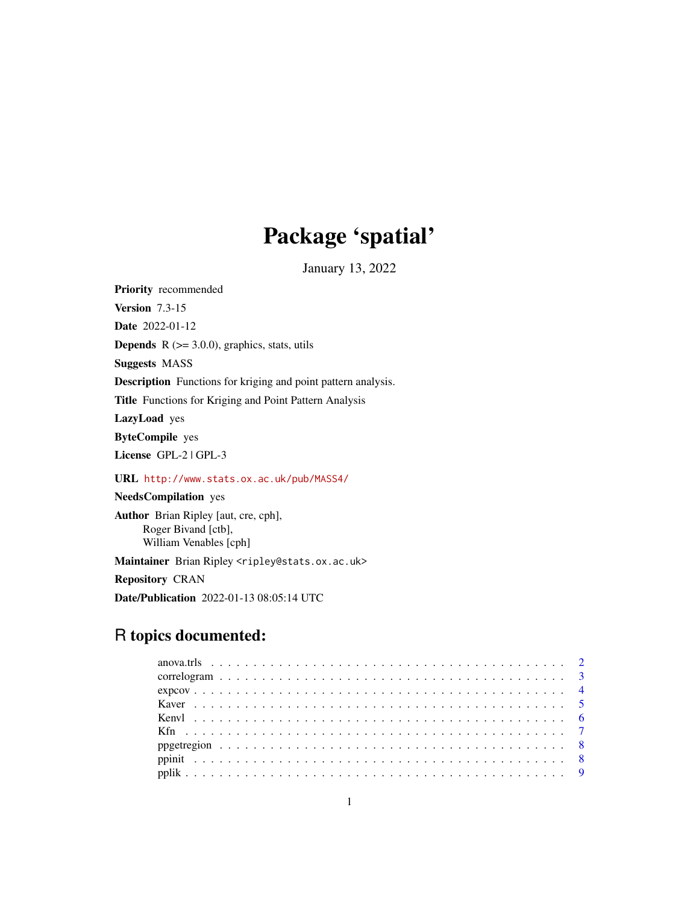# Package 'spatial'

January 13, 2022

<span id="page-0-0"></span>Priority recommended Version 7.3-15 Date 2022-01-12 **Depends**  $R$  ( $>= 3.0.0$ ), graphics, stats, utils Suggests MASS Description Functions for kriging and point pattern analysis. Title Functions for Kriging and Point Pattern Analysis LazyLoad yes ByteCompile yes License GPL-2 | GPL-3 URL <http://www.stats.ox.ac.uk/pub/MASS4/> NeedsCompilation yes Author Brian Ripley [aut, cre, cph], Roger Bivand [ctb], William Venables [cph]

Maintainer Brian Ripley <ripley@stats.ox.ac.uk> Repository CRAN

Date/Publication 2022-01-13 08:05:14 UTC

# R topics documented: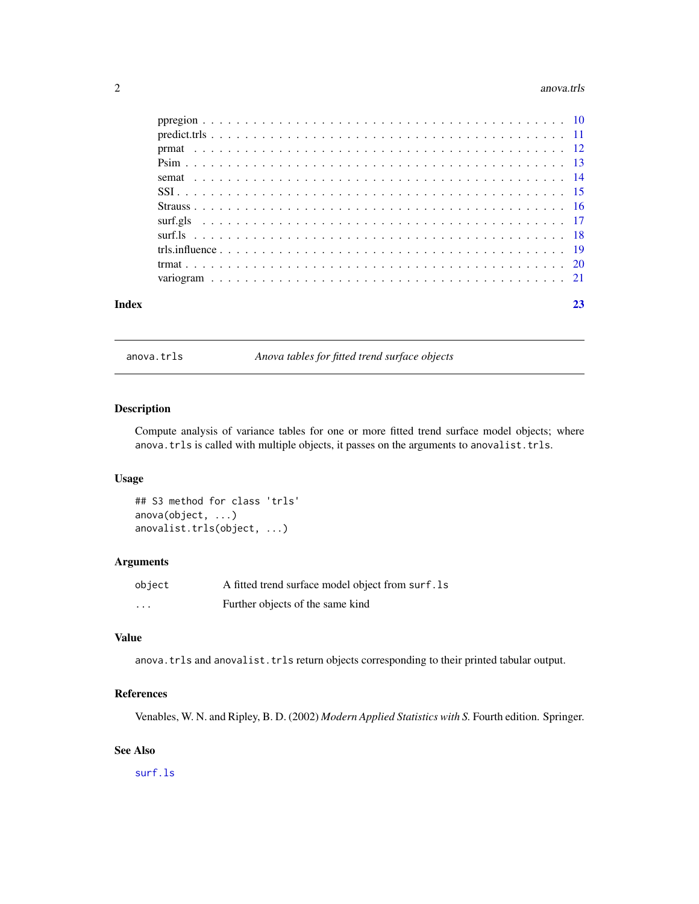#### <span id="page-1-0"></span>2 anova.trls

| Index | 23 |
|-------|----|
|       |    |
|       |    |
|       |    |
|       |    |
|       |    |
|       |    |
|       |    |
|       |    |
|       |    |
|       |    |
|       |    |
|       |    |

anova.trls *Anova tables for fitted trend surface objects*

#### Description

Compute analysis of variance tables for one or more fitted trend surface model objects; where anova.trls is called with multiple objects, it passes on the arguments to anovalist.trls.

#### Usage

## S3 method for class 'trls' anova(object, ...) anovalist.trls(object, ...)

#### Arguments

| object   | A fitted trend surface model object from surf. Is |
|----------|---------------------------------------------------|
| $\cdots$ | Further objects of the same kind                  |

# Value

anova.trls and anovalist.trls return objects corresponding to their printed tabular output.

# References

Venables, W. N. and Ripley, B. D. (2002) *Modern Applied Statistics with S.* Fourth edition. Springer.

# See Also

[surf.ls](#page-17-1)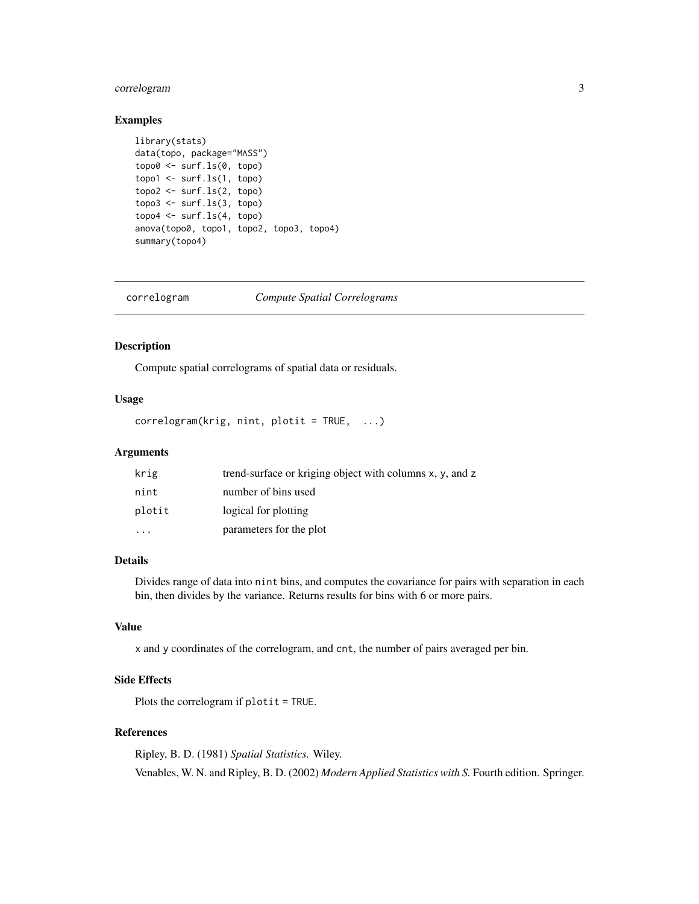# <span id="page-2-0"></span>correlogram 3

#### Examples

```
library(stats)
data(topo, package="MASS")
topo0 <- surf.ls(0, topo)
topo1 <- surf.ls(1, topo)
topo2 \leftarrow surf.ls(2, topo)topo3 \leq -surf.ls(3, topo)topo4 \leftarrow surf.ls(4, topo)anova(topo0, topo1, topo2, topo3, topo4)
summary(topo4)
```
<span id="page-2-1"></span>correlogram *Compute Spatial Correlograms*

# Description

Compute spatial correlograms of spatial data or residuals.

#### Usage

correlogram(krig, nint, plotit = TRUE, ...)

### Arguments

| krig      | trend-surface or kriging object with columns x, y, and z |
|-----------|----------------------------------------------------------|
| nint      | number of bins used                                      |
| plotit    | logical for plotting                                     |
| $\ddotsc$ | parameters for the plot                                  |

#### Details

Divides range of data into nint bins, and computes the covariance for pairs with separation in each bin, then divides by the variance. Returns results for bins with 6 or more pairs.

#### Value

x and y coordinates of the correlogram, and cnt, the number of pairs averaged per bin.

# Side Effects

Plots the correlogram if plotit = TRUE.

#### References

Ripley, B. D. (1981) *Spatial Statistics.* Wiley. Venables, W. N. and Ripley, B. D. (2002) *Modern Applied Statistics with S.* Fourth edition. Springer.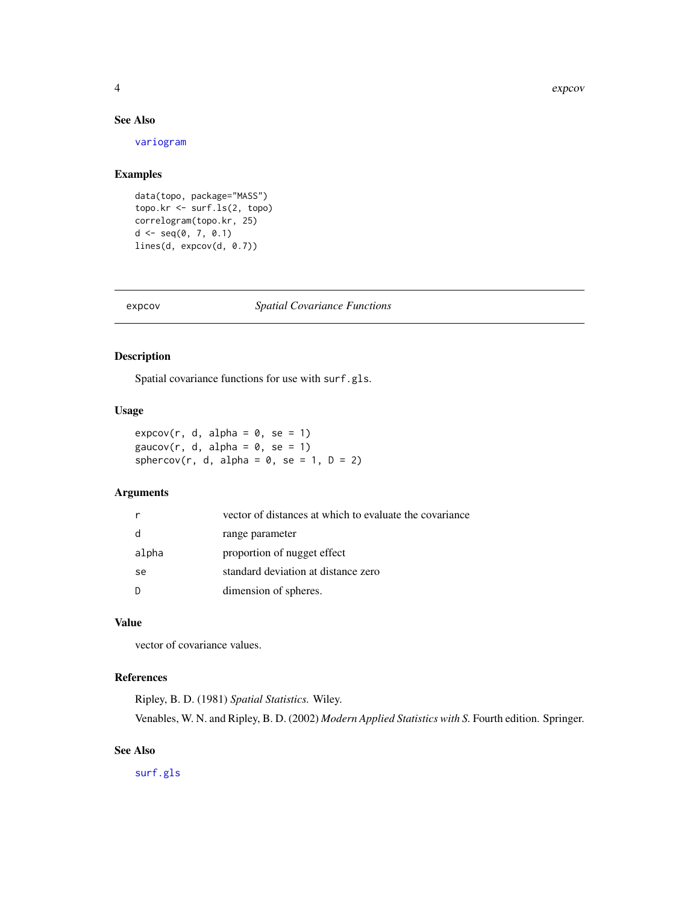#### 4 expression of the state of the state of the state of the state of the state of the state of the state of the state of the state of the state of the state of the state of the state of the state of the state of the state o

#### See Also

[variogram](#page-20-1)

#### Examples

```
data(topo, package="MASS")
topo.kr <- surf.ls(2, topo)
correlogram(topo.kr, 25)
d \leq -\text{seq}(0, 7, 0.1)lines(d, expcov(d, 0.7))
```
#### <span id="page-3-1"></span>expcov *Spatial Covariance Functions*

# <span id="page-3-2"></span>Description

Spatial covariance functions for use with surf.gls.

#### Usage

 $expcov(r, d, alpha = 0, se = 1)$ gaucov(r, d, alpha =  $0$ , se = 1) sphercov(r, d, alpha =  $0$ , se = 1, D = 2)

#### Arguments

|       | vector of distances at which to evaluate the covariance |
|-------|---------------------------------------------------------|
| d     | range parameter                                         |
| alpha | proportion of nugget effect                             |
| se    | standard deviation at distance zero                     |
| D     | dimension of spheres.                                   |

#### Value

vector of covariance values.

### References

Ripley, B. D. (1981) *Spatial Statistics.* Wiley. Venables, W. N. and Ripley, B. D. (2002) *Modern Applied Statistics with S.* Fourth edition. Springer.

#### See Also

[surf.gls](#page-16-1)

<span id="page-3-0"></span>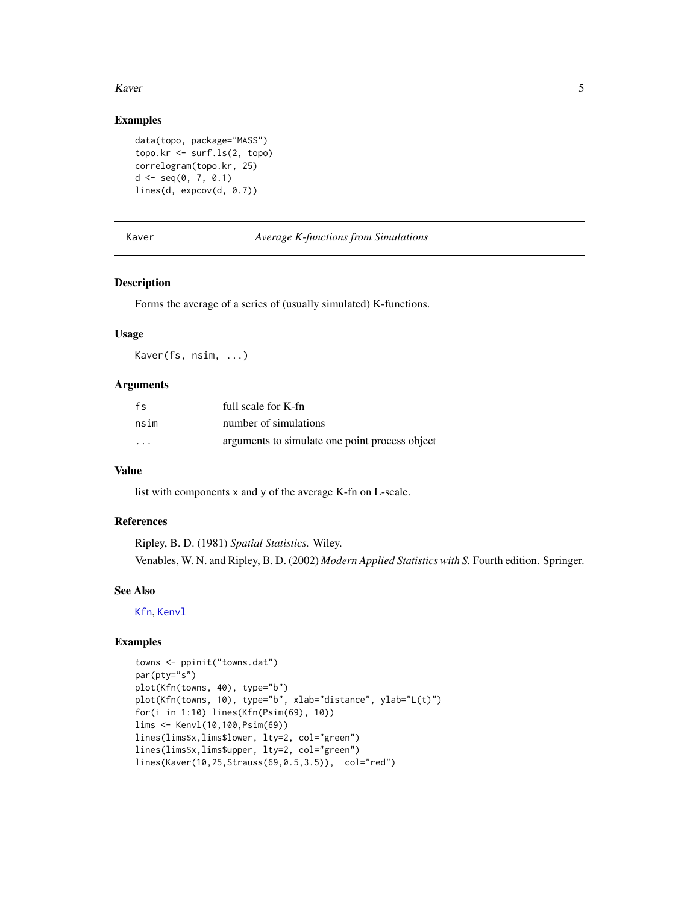#### <span id="page-4-0"></span>Kaver 5

# Examples

```
data(topo, package="MASS")
topo.kr <- surf.ls(2, topo)
correlogram(topo.kr, 25)
d \leq -\text{seq}(0, 7, 0.1)lines(d, expcov(d, 0.7))
```
<span id="page-4-1"></span>Kaver *Average K-functions from Simulations*

## Description

Forms the average of a series of (usually simulated) K-functions.

#### Usage

Kaver(fs, nsim, ...)

#### **Arguments**

| fs                      | full scale for K-fn                            |
|-------------------------|------------------------------------------------|
| nsim                    | number of simulations                          |
| $\cdot$ $\cdot$ $\cdot$ | arguments to simulate one point process object |

# Value

list with components x and y of the average K-fn on L-scale.

# References

Ripley, B. D. (1981) *Spatial Statistics.* Wiley. Venables, W. N. and Ripley, B. D. (2002) *Modern Applied Statistics with S.* Fourth edition. Springer.

#### See Also

[Kfn](#page-6-1), [Kenvl](#page-5-1)

```
towns <- ppinit("towns.dat")
par(pty="s")
plot(Kfn(towns, 40), type="b")
plot(Kfn(towns, 10), type="b", xlab="distance", ylab="L(t)")
for(i in 1:10) lines(Kfn(Psim(69), 10))
lims <- Kenvl(10,100,Psim(69))
lines(lims$x,lims$lower, lty=2, col="green")
lines(lims$x,lims$upper, lty=2, col="green")
lines(Kaver(10,25,Strauss(69,0.5,3.5)), col="red")
```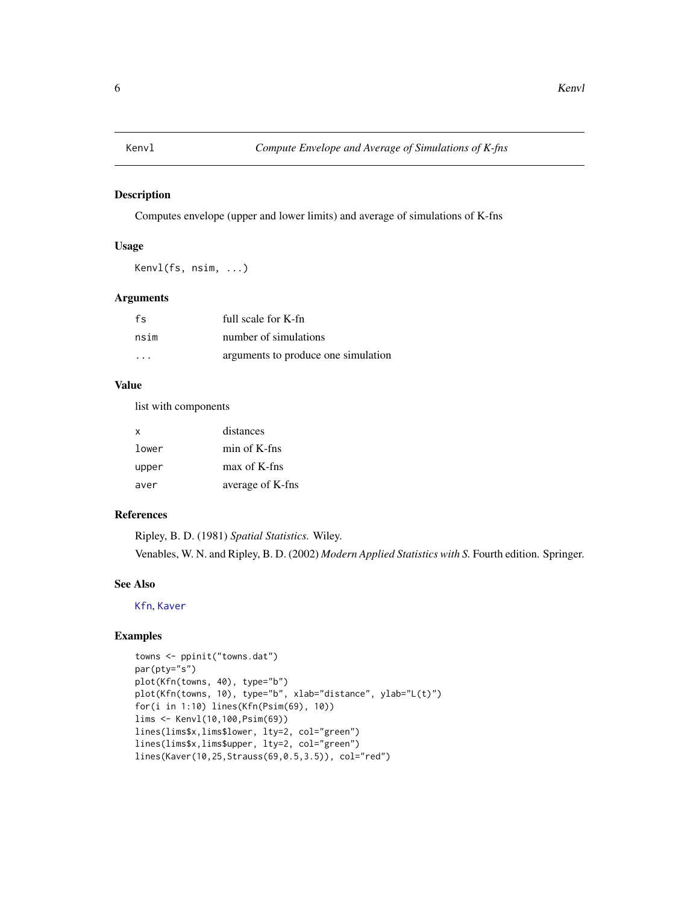<span id="page-5-1"></span><span id="page-5-0"></span>

Computes envelope (upper and lower limits) and average of simulations of K-fns

#### Usage

Kenvl(fs, nsim, ...)

# Arguments

| fs                      | full scale for K-fn                 |
|-------------------------|-------------------------------------|
| nsim                    | number of simulations               |
| $\cdot$ $\cdot$ $\cdot$ | arguments to produce one simulation |

#### Value

list with components

| x     | distances        |
|-------|------------------|
| lower | min of K-fns     |
| upper | max of K-fns     |
| aver  | average of K-fns |

# References

Ripley, B. D. (1981) *Spatial Statistics.* Wiley. Venables, W. N. and Ripley, B. D. (2002) *Modern Applied Statistics with S.* Fourth edition. Springer.

#### See Also

[Kfn](#page-6-1), [Kaver](#page-4-1)

```
towns <- ppinit("towns.dat")
par(pty="s")
plot(Kfn(towns, 40), type="b")
plot(Kfn(towns, 10), type="b", xlab="distance", ylab="L(t)")
for(i in 1:10) lines(Kfn(Psim(69), 10))
lims <- Kenvl(10,100,Psim(69))
lines(lims$x,lims$lower, lty=2, col="green")
lines(lims$x,lims$upper, lty=2, col="green")
lines(Kaver(10,25,Strauss(69,0.5,3.5)), col="red")
```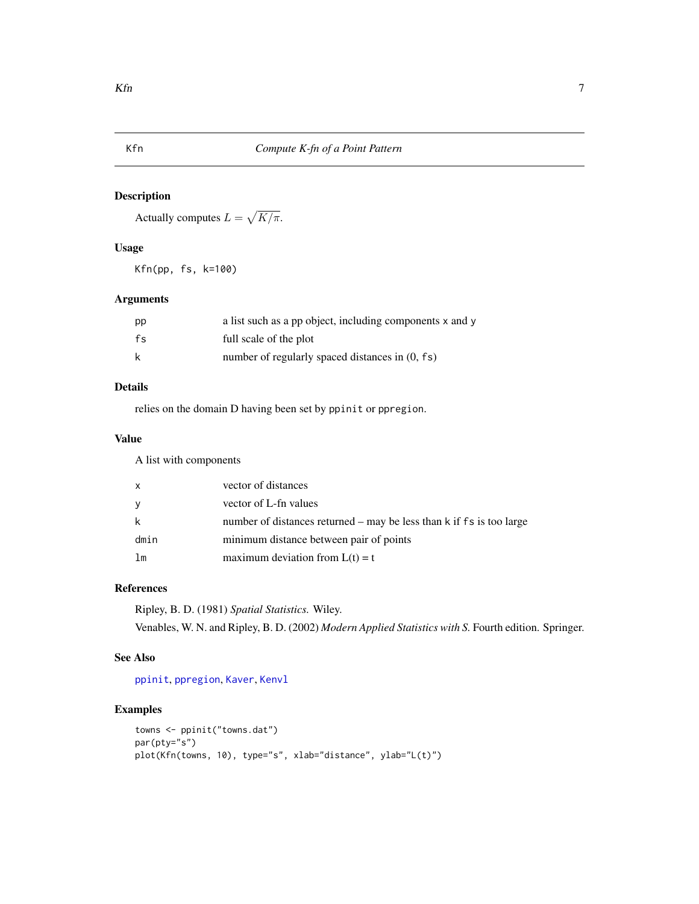<span id="page-6-1"></span><span id="page-6-0"></span>

Actually computes  $L = \sqrt{K/\pi}$ .

# Usage

Kfn(pp, fs, k=100)

# Arguments

| pp | a list such as a pp object, including components x and y |
|----|----------------------------------------------------------|
| fs | full scale of the plot                                   |
| k  | number of regularly spaced distances in $(0, fs)$        |

# Details

relies on the domain D having been set by ppinit or ppregion.

#### Value

A list with components

| X    | vector of distances                                                  |
|------|----------------------------------------------------------------------|
| У    | vector of L-fn values                                                |
| k    | number of distances returned – may be less than k if fs is too large |
| dmin | minimum distance between pair of points                              |
| lm   | maximum deviation from $L(t) = t$                                    |

# References

Ripley, B. D. (1981) *Spatial Statistics.* Wiley. Venables, W. N. and Ripley, B. D. (2002) *Modern Applied Statistics with S.* Fourth edition. Springer.

# See Also

[ppinit](#page-7-1), [ppregion](#page-9-1), [Kaver](#page-4-1), [Kenvl](#page-5-1)

```
towns <- ppinit("towns.dat")
par(pty="s")
plot(Kfn(towns, 10), type="s", xlab="distance", ylab="L(t)")
```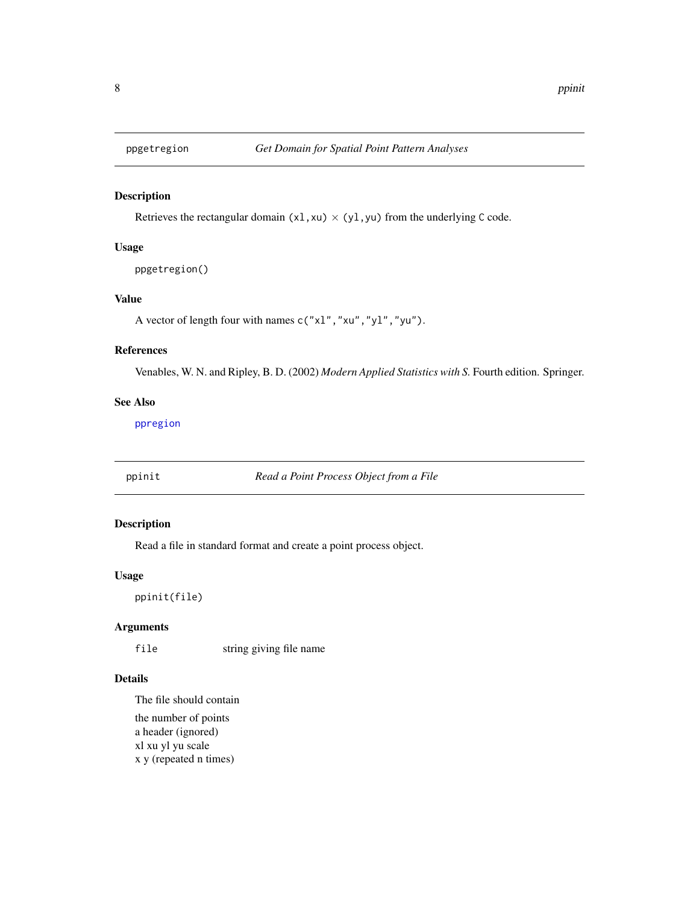<span id="page-7-2"></span><span id="page-7-0"></span>

Retrieves the rectangular domain (x1, xu)  $\times$  (y1, yu) from the underlying C code.

#### Usage

```
ppgetregion()
```
# Value

A vector of length four with names c("xl","xu","yl","yu").

# References

Venables, W. N. and Ripley, B. D. (2002) *Modern Applied Statistics with S.* Fourth edition. Springer.

# See Also

[ppregion](#page-9-1)

<span id="page-7-1"></span>ppinit *Read a Point Process Object from a File*

#### Description

Read a file in standard format and create a point process object.

#### Usage

ppinit(file)

# Arguments

file string giving file name

## Details

The file should contain the number of points a header (ignored) xl xu yl yu scale x y (repeated n times)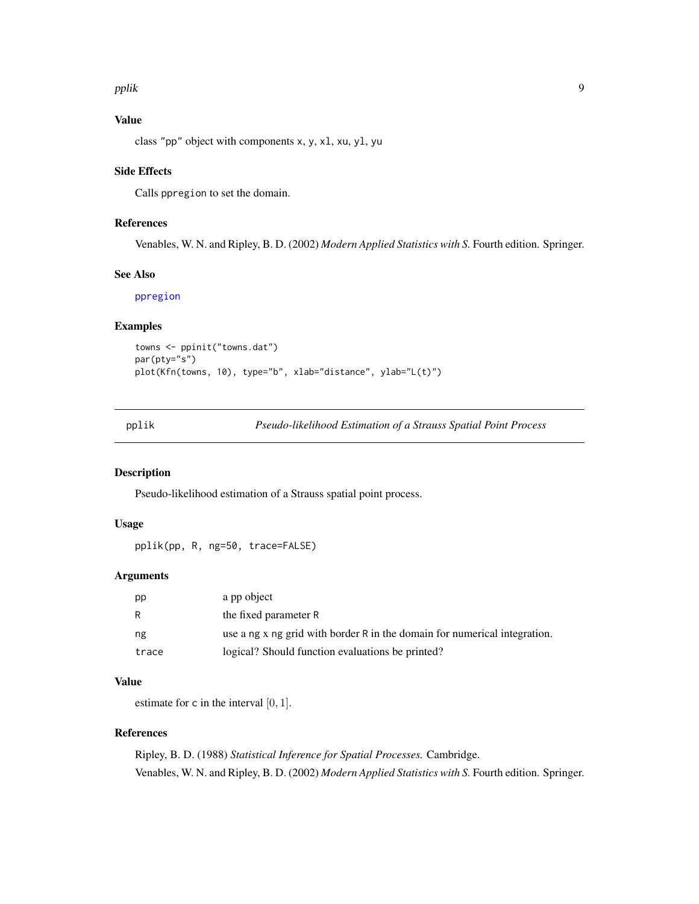#### <span id="page-8-0"></span>pplik to the control of the control of the control of the control of the control of the control of the control of the control of the control of the control of the control of the control of the control of the control of the

# Value

class "pp" object with components x, y, xl, xu, yl, yu

#### Side Effects

Calls ppregion to set the domain.

#### References

Venables, W. N. and Ripley, B. D. (2002) *Modern Applied Statistics with S.* Fourth edition. Springer.

#### See Also

[ppregion](#page-9-1)

# Examples

```
towns <- ppinit("towns.dat")
par(pty="s")
plot(Kfn(towns, 10), type="b", xlab="distance", ylab="L(t)")
```
pplik *Pseudo-likelihood Estimation of a Strauss Spatial Point Process*

#### Description

Pseudo-likelihood estimation of a Strauss spatial point process.

#### Usage

pplik(pp, R, ng=50, trace=FALSE)

#### Arguments

| pp    | a pp object                                                               |
|-------|---------------------------------------------------------------------------|
| R     | the fixed parameter R                                                     |
| ng    | use a ng x ng grid with border R in the domain for numerical integration. |
| trace | logical? Should function evaluations be printed?                          |

# Value

estimate for c in the interval  $[0, 1]$ .

#### References

Ripley, B. D. (1988) *Statistical Inference for Spatial Processes.* Cambridge. Venables, W. N. and Ripley, B. D. (2002) *Modern Applied Statistics with S.* Fourth edition. Springer.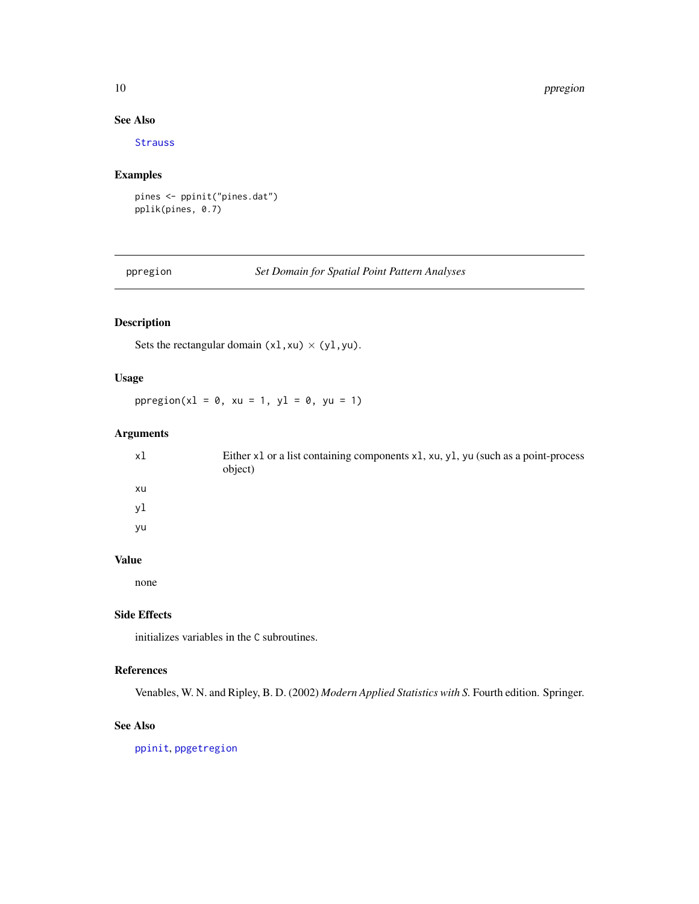#### 10 ppregion and the set of the set of the set of the set of the set of the set of the set of the set of the set of the set of the set of the set of the set of the set of the set of the set of the set of the set of the set

# See Also

[Strauss](#page-15-1)

# Examples

```
pines <- ppinit("pines.dat")
pplik(pines, 0.7)
```
<span id="page-9-1"></span>ppregion *Set Domain for Spatial Point Pattern Analyses*

# Description

Sets the rectangular domain  $(x1, xu) \times (y1, yu)$ .

# Usage

ppregion( $x1 = 0$ ,  $xu = 1$ ,  $y1 = 0$ ,  $yu = 1$ )

# Arguments

| xl | Either x1 or a list containing components x1, xu, y1, yu (such as a point-process<br>object) |
|----|----------------------------------------------------------------------------------------------|
| xu |                                                                                              |
| vl |                                                                                              |
| yu |                                                                                              |

# Value

none

# Side Effects

initializes variables in the C subroutines.

# References

Venables, W. N. and Ripley, B. D. (2002) *Modern Applied Statistics with S.* Fourth edition. Springer.

#### See Also

[ppinit](#page-7-1), [ppgetregion](#page-7-2)

<span id="page-9-0"></span>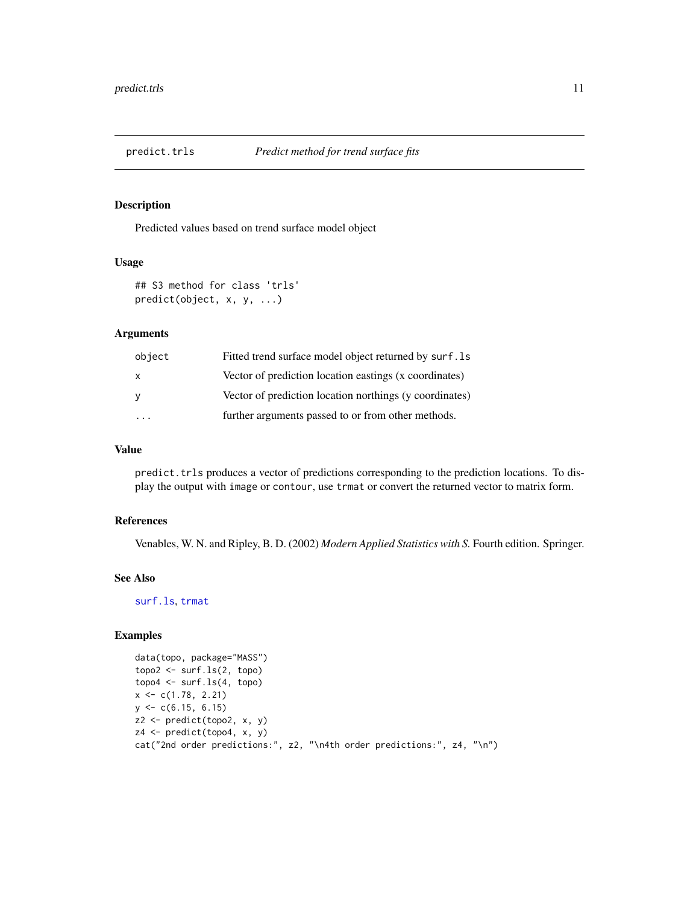<span id="page-10-0"></span>

Predicted values based on trend surface model object

# Usage

```
## S3 method for class 'trls'
predict(object, x, y, ...)
```
# Arguments

| object | Fitted trend surface model object returned by surf. 1s  |
|--------|---------------------------------------------------------|
| X      | Vector of prediction location eastings (x coordinates)  |
| У      | Vector of prediction location northings (y coordinates) |
|        | further arguments passed to or from other methods.      |

#### Value

predict.trls produces a vector of predictions corresponding to the prediction locations. To display the output with image or contour, use trmat or convert the returned vector to matrix form.

#### References

Venables, W. N. and Ripley, B. D. (2002) *Modern Applied Statistics with S.* Fourth edition. Springer.

#### See Also

[surf.ls](#page-17-1), [trmat](#page-19-1)

```
data(topo, package="MASS")
topo2 <- surf.ls(2, topo)
topo4 <- surf.ls(4, topo)
x \leq c(1.78, 2.21)y \leq -c(6.15, 6.15)z2 <- predict(topo2, x, y)
z4 \leftarrow \text{predict}(\text{topo4}, x, y)cat("2nd order predictions:", z2, "\n4th order predictions:", z4, "\n")
```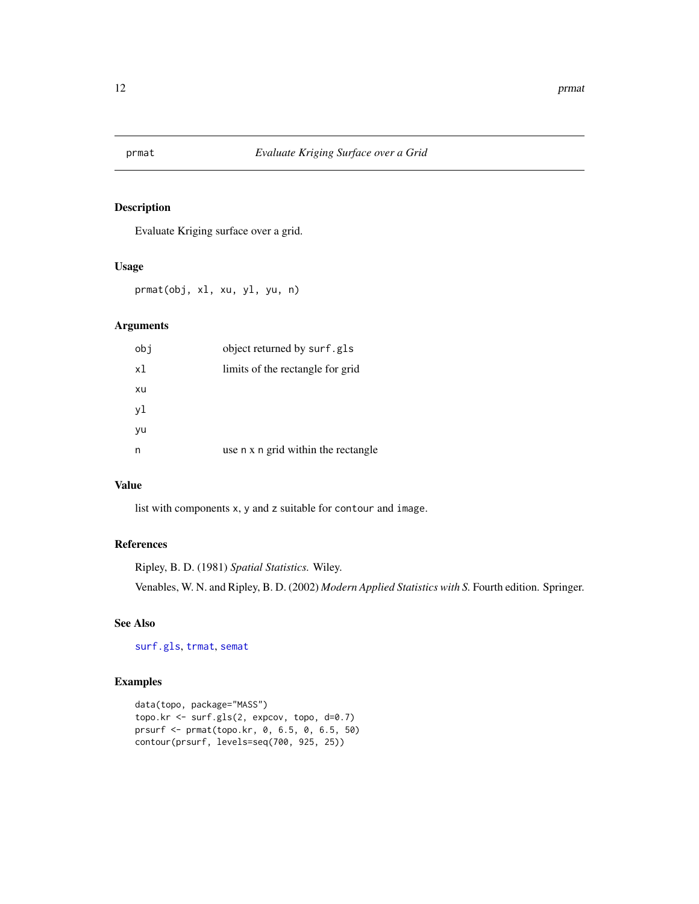<span id="page-11-1"></span><span id="page-11-0"></span>

Evaluate Kriging surface over a grid.

#### Usage

prmat(obj, xl, xu, yl, yu, n)

# Arguments

| obj | object returned by surf.gls         |
|-----|-------------------------------------|
| xl  | limits of the rectangle for grid    |
| xu  |                                     |
| yl  |                                     |
| yu  |                                     |
| n   | use n x n grid within the rectangle |

# Value

list with components x, y and z suitable for contour and image.

# References

Ripley, B. D. (1981) *Spatial Statistics.* Wiley.

Venables, W. N. and Ripley, B. D. (2002) *Modern Applied Statistics with S.* Fourth edition. Springer.

# See Also

[surf.gls](#page-16-1), [trmat](#page-19-1), [semat](#page-13-1)

```
data(topo, package="MASS")
topo.kr <- surf.gls(2, expcov, topo, d=0.7)
prsurf <- prmat(topo.kr, 0, 6.5, 0, 6.5, 50)
contour(prsurf, levels=seq(700, 925, 25))
```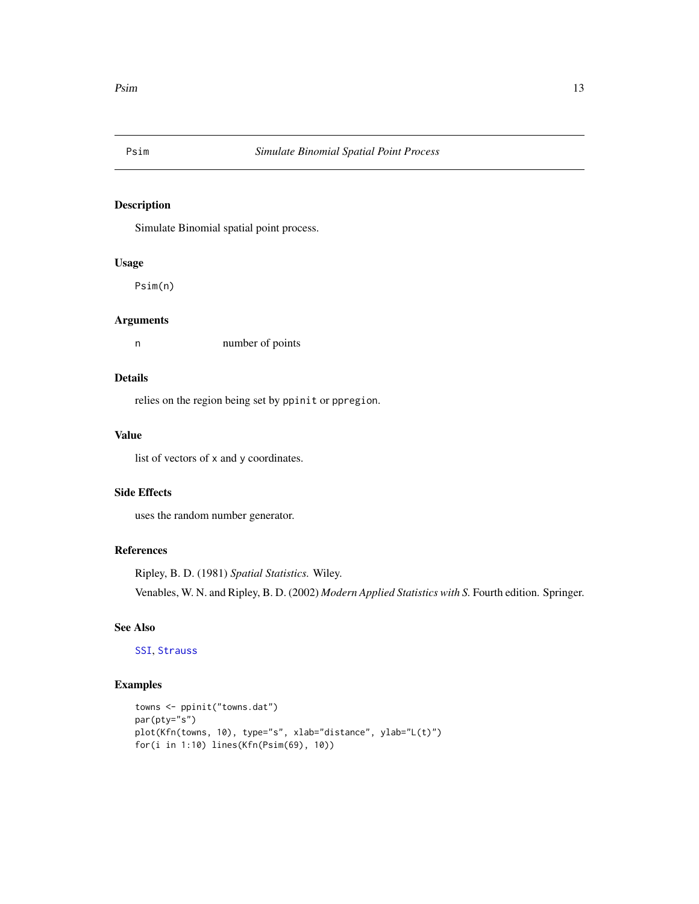<span id="page-12-1"></span><span id="page-12-0"></span>

Simulate Binomial spatial point process.

# Usage

Psim(n)

# Arguments

n number of points

#### Details

relies on the region being set by ppinit or ppregion.

#### Value

list of vectors of x and y coordinates.

# Side Effects

uses the random number generator.

#### References

Ripley, B. D. (1981) *Spatial Statistics.* Wiley. Venables, W. N. and Ripley, B. D. (2002) *Modern Applied Statistics with S.* Fourth edition. Springer.

# See Also

[SSI](#page-14-1), [Strauss](#page-15-1)

```
towns <- ppinit("towns.dat")
par(pty="s")
plot(Kfn(towns, 10), type="s", xlab="distance", ylab="L(t)")
for(i in 1:10) lines(Kfn(Psim(69), 10))
```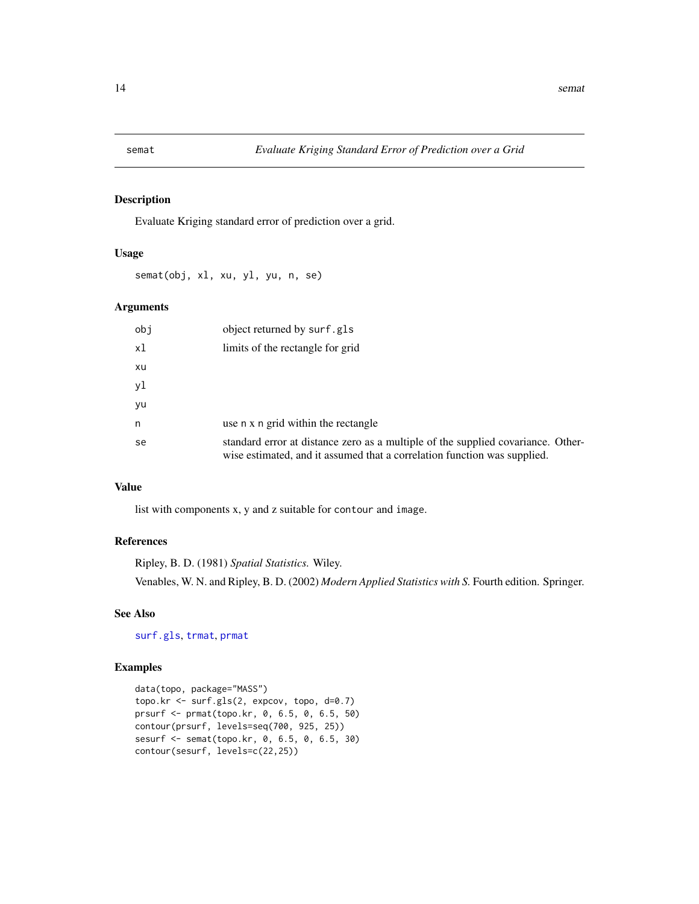<span id="page-13-1"></span><span id="page-13-0"></span>

Evaluate Kriging standard error of prediction over a grid.

#### Usage

semat(obj, xl, xu, yl, yu, n, se)

# Arguments

| obj | object returned by surf.gls                                                                                                                                  |
|-----|--------------------------------------------------------------------------------------------------------------------------------------------------------------|
| x1  | limits of the rectangle for grid                                                                                                                             |
| xu  |                                                                                                                                                              |
| yl  |                                                                                                                                                              |
| yu  |                                                                                                                                                              |
| n   | use n x n grid within the rectangle                                                                                                                          |
| se  | standard error at distance zero as a multiple of the supplied covariance. Other-<br>wise estimated, and it assumed that a correlation function was supplied. |

#### Value

list with components x, y and z suitable for contour and image.

# References

Ripley, B. D. (1981) *Spatial Statistics.* Wiley. Venables, W. N. and Ripley, B. D. (2002) *Modern Applied Statistics with S.* Fourth edition. Springer.

# See Also

[surf.gls](#page-16-1), [trmat](#page-19-1), [prmat](#page-11-1)

```
data(topo, package="MASS")
topo.kr <- surf.gls(2, expcov, topo, d=0.7)
prsurf <- prmat(topo.kr, 0, 6.5, 0, 6.5, 50)
contour(prsurf, levels=seq(700, 925, 25))
sesurf <- semat(topo.kr, 0, 6.5, 0, 6.5, 30)
contour(sesurf, levels=c(22,25))
```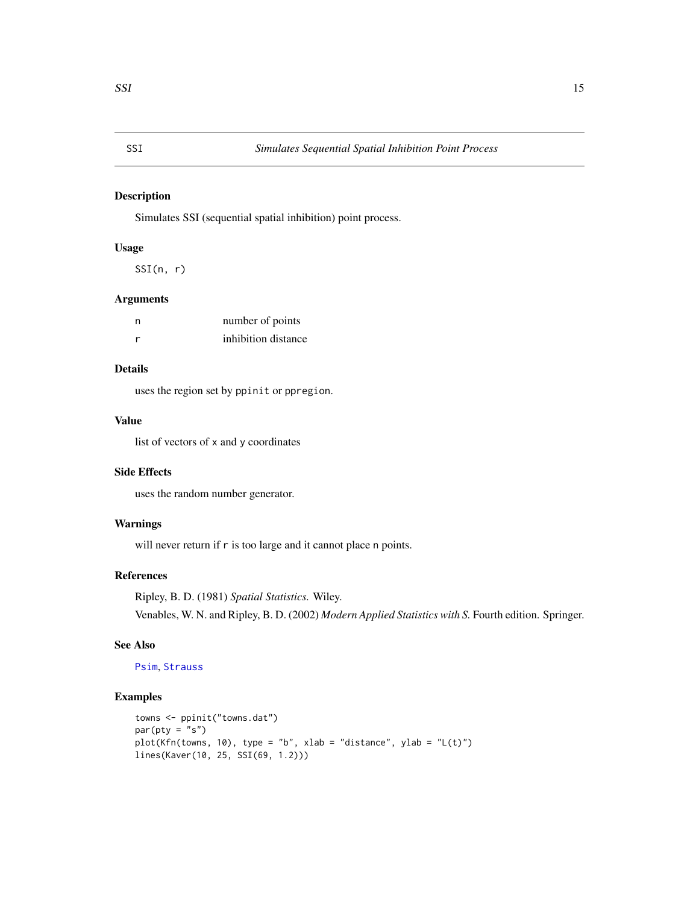<span id="page-14-1"></span><span id="page-14-0"></span>Simulates SSI (sequential spatial inhibition) point process.

#### Usage

SSI(n, r)

# Arguments

| n | number of points    |
|---|---------------------|
| r | inhibition distance |

# Details

uses the region set by ppinit or ppregion.

# Value

list of vectors of x and y coordinates

# Side Effects

uses the random number generator.

#### Warnings

will never return if r is too large and it cannot place n points.

#### References

Ripley, B. D. (1981) *Spatial Statistics.* Wiley. Venables, W. N. and Ripley, B. D. (2002) *Modern Applied Statistics with S.* Fourth edition. Springer.

#### See Also

# [Psim](#page-12-1), [Strauss](#page-15-1)

```
towns <- ppinit("towns.dat")
par(pty = "s")plot(Kfn(towns, 10), type = "b", xlab = "distance", ylab = "L(t)")
lines(Kaver(10, 25, SSI(69, 1.2)))
```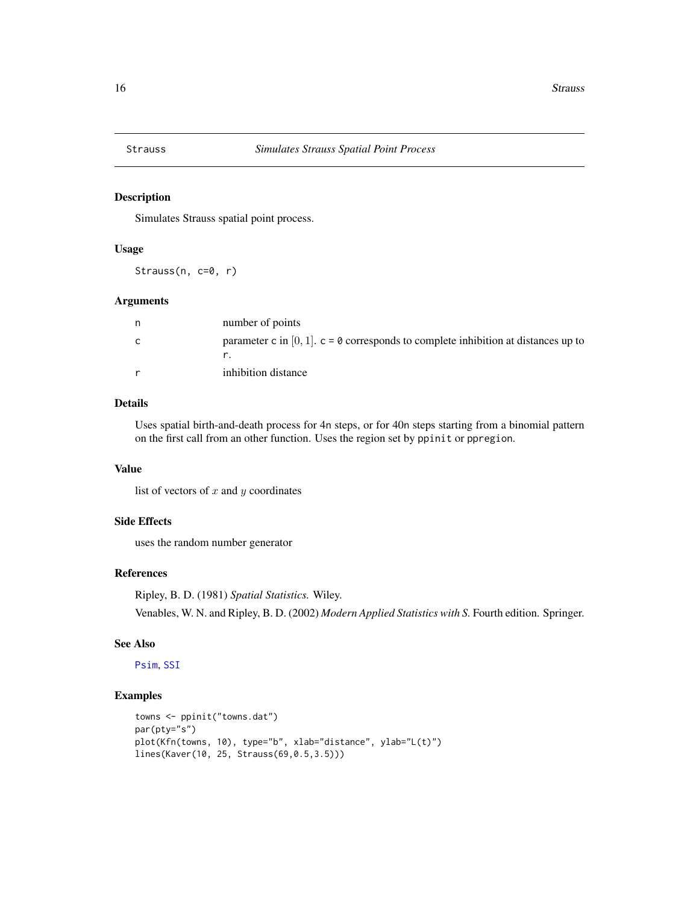<span id="page-15-1"></span><span id="page-15-0"></span>

Simulates Strauss spatial point process.

#### Usage

Strauss( $n, c=0, r$ )

#### Arguments

| n | number of points                                                                      |
|---|---------------------------------------------------------------------------------------|
| C | parameter c in $[0, 1]$ . c = 0 corresponds to complete inhibition at distances up to |
|   | inhibition distance                                                                   |

# Details

Uses spatial birth-and-death process for 4n steps, or for 40n steps starting from a binomial pattern on the first call from an other function. Uses the region set by ppinit or ppregion.

# Value

list of vectors of  $x$  and  $y$  coordinates

#### Side Effects

uses the random number generator

#### References

Ripley, B. D. (1981) *Spatial Statistics.* Wiley.

Venables, W. N. and Ripley, B. D. (2002) *Modern Applied Statistics with S.* Fourth edition. Springer.

#### See Also

[Psim](#page-12-1), [SSI](#page-14-1)

```
towns <- ppinit("towns.dat")
par(pty="s")
plot(Kfn(towns, 10), type="b", xlab="distance", ylab="L(t)")
lines(Kaver(10, 25, Strauss(69,0.5,3.5)))
```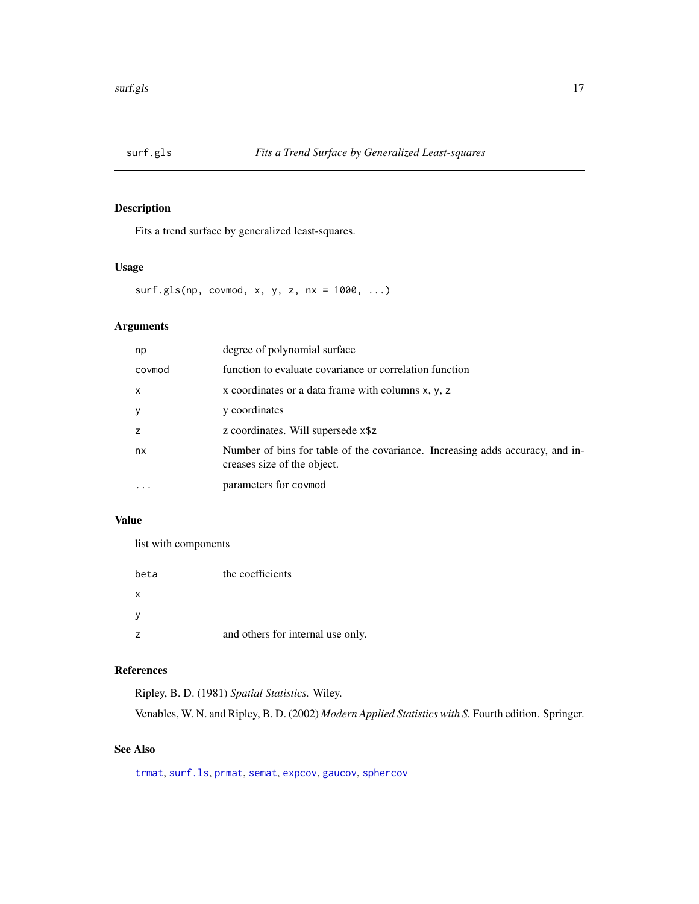<span id="page-16-1"></span><span id="page-16-0"></span>

Fits a trend surface by generalized least-squares.

# Usage

surf.gls(np, covmod, x, y, z, nx = 1000, ...)

# Arguments

| np           | degree of polynomial surface                                                                                 |
|--------------|--------------------------------------------------------------------------------------------------------------|
| covmod       | function to evaluate covariance or correlation function                                                      |
| $\mathsf{x}$ | x coordinates or a data frame with columns $x, y, z$                                                         |
| y            | y coordinates                                                                                                |
| z            | z coordinates. Will supersede x\$z                                                                           |
| nx           | Number of bins for table of the covariance. Increasing adds accuracy, and in-<br>creases size of the object. |
|              | parameters for covmod                                                                                        |

#### Value

list with components

| beta         | the coefficients                  |
|--------------|-----------------------------------|
| $\times$     |                                   |
| <sub>V</sub> |                                   |
|              | and others for internal use only. |

# References

Ripley, B. D. (1981) *Spatial Statistics.* Wiley.

Venables, W. N. and Ripley, B. D. (2002) *Modern Applied Statistics with S.* Fourth edition. Springer.

# See Also

[trmat](#page-19-1), [surf.ls](#page-17-1), [prmat](#page-11-1), [semat](#page-13-1), [expcov](#page-3-1), [gaucov](#page-3-2), [sphercov](#page-3-2)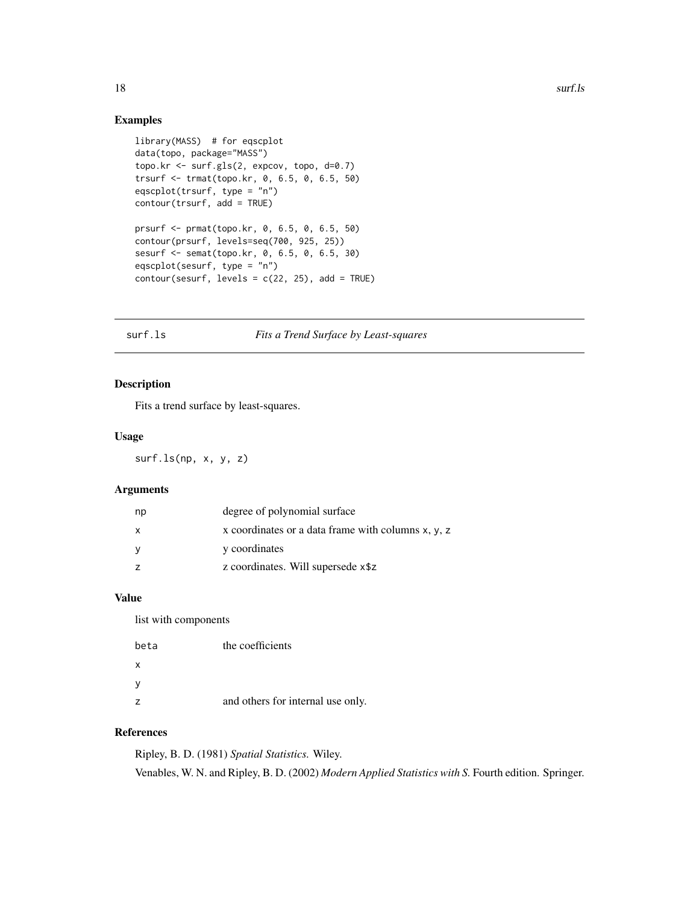#### Examples

```
library(MASS) # for eqscplot
data(topo, package="MASS")
topo.kr <- surf.gls(2, expcov, topo, d=0.7)
trsurf <- trmat(topo.kr, 0, 6.5, 0, 6.5, 50)
eqscplot(trsurf, type = "n")
contour(trsurf, add = TRUE)
prsurf <- prmat(topo.kr, 0, 6.5, 0, 6.5, 50)
contour(prsurf, levels=seq(700, 925, 25))
sesurf <- semat(topo.kr, 0, 6.5, 0, 6.5, 30)
eqscplot(sesurf, type = "n")
contour(sesurf, levels = c(22, 25), add = TRUE)
```
#### <span id="page-17-1"></span>surf.ls *Fits a Trend Surface by Least-squares*

#### Description

Fits a trend surface by least-squares.

#### Usage

surf.ls(np, x, y, z)

# Arguments

| np           | degree of polynomial surface                         |
|--------------|------------------------------------------------------|
| $\mathsf{x}$ | x coordinates or a data frame with columns $x, y, z$ |
| - V          | y coordinates                                        |
|              | z coordinates. Will supersede x\$z                   |

#### Value

list with components

| beta           | the coefficients                  |
|----------------|-----------------------------------|
| X              |                                   |
| y              |                                   |
| $\overline{z}$ | and others for internal use only. |

# References

Ripley, B. D. (1981) *Spatial Statistics.* Wiley. Venables, W. N. and Ripley, B. D. (2002) *Modern Applied Statistics with S.* Fourth edition. Springer.

<span id="page-17-0"></span>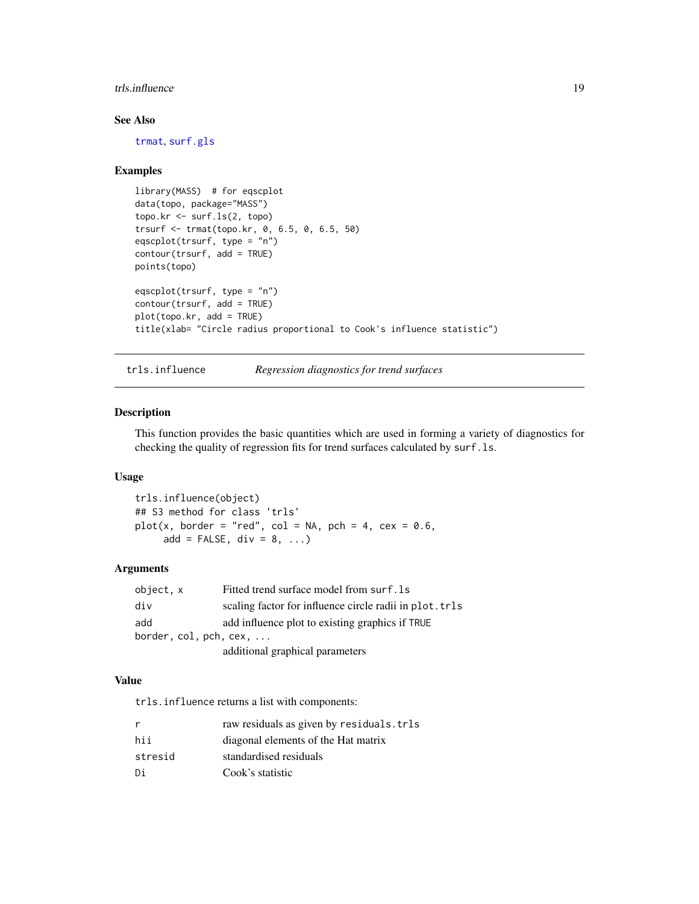#### <span id="page-18-0"></span>trls.influence 19

# See Also

[trmat](#page-19-1), [surf.gls](#page-16-1)

#### Examples

```
library(MASS) # for eqscplot
data(topo, package="MASS")
topo.kr <- surf.ls(2, topo)
trsurf <- trmat(topo.kr, 0, 6.5, 0, 6.5, 50)
eqscplot(trsurf, type = "n")
contour(trsurf, add = TRUE)
points(topo)
eqscplot(trsurf, type = "n")
contour(trsurf, add = TRUE)
plot(topo.kr, add = TRUE)
title(xlab= "Circle radius proportional to Cook's influence statistic")
```
trls.influence *Regression diagnostics for trend surfaces*

#### Description

This function provides the basic quantities which are used in forming a variety of diagnostics for checking the quality of regression fits for trend surfaces calculated by surf.ls.

# Usage

```
trls.influence(object)
## S3 method for class 'trls'
plot(x, border = "red", col = NA, pch = 4, cex = 0.6,add = FALSE, div = 8, ...)
```
#### Arguments

| object, x                                | Fitted trend surface model from surf. 1s                |  |
|------------------------------------------|---------------------------------------------------------|--|
| div                                      | scaling factor for influence circle radii in plot. trls |  |
| add                                      | add influence plot to existing graphics if TRUE         |  |
| border, $col$ , $pch$ , $cex$ , $\ldots$ |                                                         |  |
|                                          | additional graphical parameters                         |  |

#### Value

trls.influence returns a list with components:

| r       | raw residuals as given by residuals.trls |
|---------|------------------------------------------|
| hii     | diagonal elements of the Hat matrix      |
| stresid | standardised residuals                   |
| Di      | Cook's statistic                         |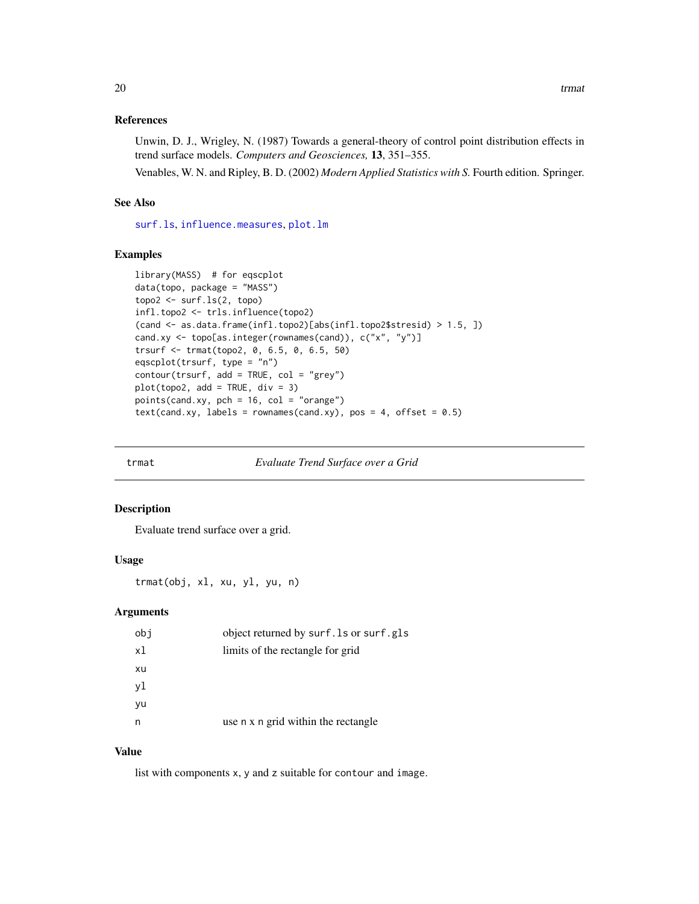#### <span id="page-19-0"></span>References

Unwin, D. J., Wrigley, N. (1987) Towards a general-theory of control point distribution effects in trend surface models. *Computers and Geosciences,* 13, 351–355.

Venables, W. N. and Ripley, B. D. (2002) *Modern Applied Statistics with S.* Fourth edition. Springer.

# See Also

[surf.ls](#page-17-1), [influence.measures](#page-0-0), [plot.lm](#page-0-0)

#### Examples

```
library(MASS) # for eqscplot
data(topo, package = "MASS")
topo2 <- surf.ls(2, topo)
infl.topo2 <- trls.influence(topo2)
(cand <- as.data.frame(infl.topo2)[abs(infl.topo2$stresid) > 1.5, ])
cand.xy <- topo[as.integer(rownames(cand)), c("x", "y")]
trsurf <- trmat(topo2, 0, 6.5, 0, 6.5, 50)
eqscplot(trsurf, type = "n")
contour(trsurf, add = TRUE, col = "grey")
plot(topo2, add = TRUE, div = 3)points(cand.xy, pch = 16, col = "orange")text(cand(xy, labels = rownames(cand(xy), pos = 4, offset = 0.5)
```
<span id="page-19-1"></span>

trmat *Evaluate Trend Surface over a Grid*

#### Description

Evaluate trend surface over a grid.

#### Usage

trmat(obj, xl, xu, yl, yu, n)

#### Arguments

| obi | object returned by surf. Is or surf.gls |
|-----|-----------------------------------------|
| x1  | limits of the rectangle for grid        |
| xu  |                                         |
| yl  |                                         |
| yu  |                                         |
| n   | use n x n grid within the rectangle     |
|     |                                         |

#### Value

list with components x, y and z suitable for contour and image.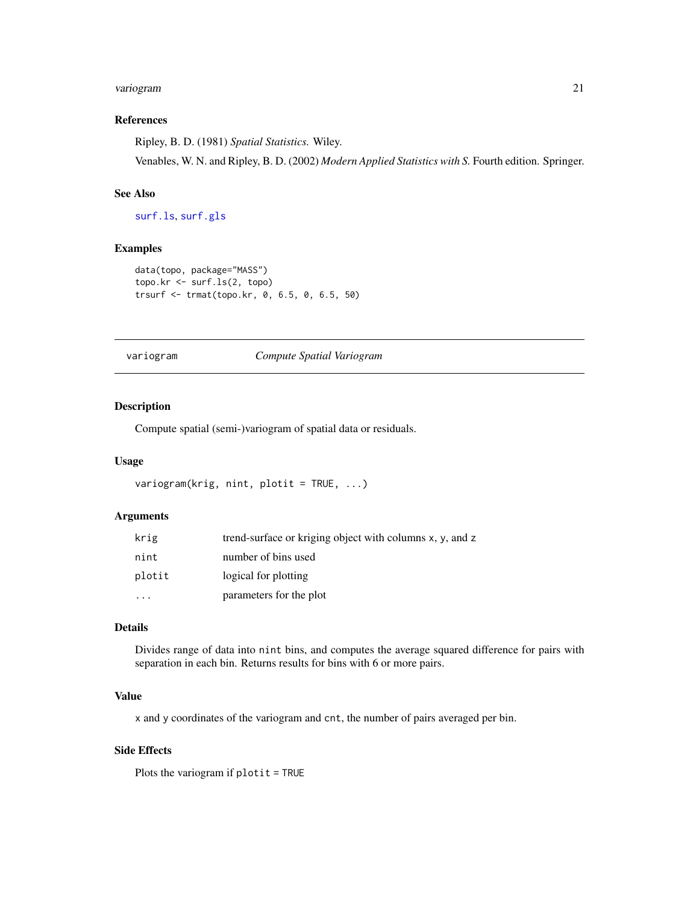# <span id="page-20-0"></span>variogram 21

#### References

Ripley, B. D. (1981) *Spatial Statistics.* Wiley.

Venables, W. N. and Ripley, B. D. (2002) *Modern Applied Statistics with S.* Fourth edition. Springer.

### See Also

[surf.ls](#page-17-1), [surf.gls](#page-16-1)

# Examples

```
data(topo, package="MASS")
topo.kr <- surf.ls(2, topo)
trsurf <- trmat(topo.kr, 0, 6.5, 0, 6.5, 50)
```
#### <span id="page-20-1"></span>variogram *Compute Spatial Variogram*

#### Description

Compute spatial (semi-)variogram of spatial data or residuals.

#### Usage

```
variogram(krig, nint, plotit = TRUE, ...)
```
# Arguments

| krig   | trend-surface or kriging object with columns x, y, and z |
|--------|----------------------------------------------------------|
| nint   | number of bins used                                      |
| plotit | logical for plotting                                     |
|        | parameters for the plot                                  |

# Details

Divides range of data into nint bins, and computes the average squared difference for pairs with separation in each bin. Returns results for bins with 6 or more pairs.

#### Value

x and y coordinates of the variogram and cnt, the number of pairs averaged per bin.

#### Side Effects

Plots the variogram if plotit = TRUE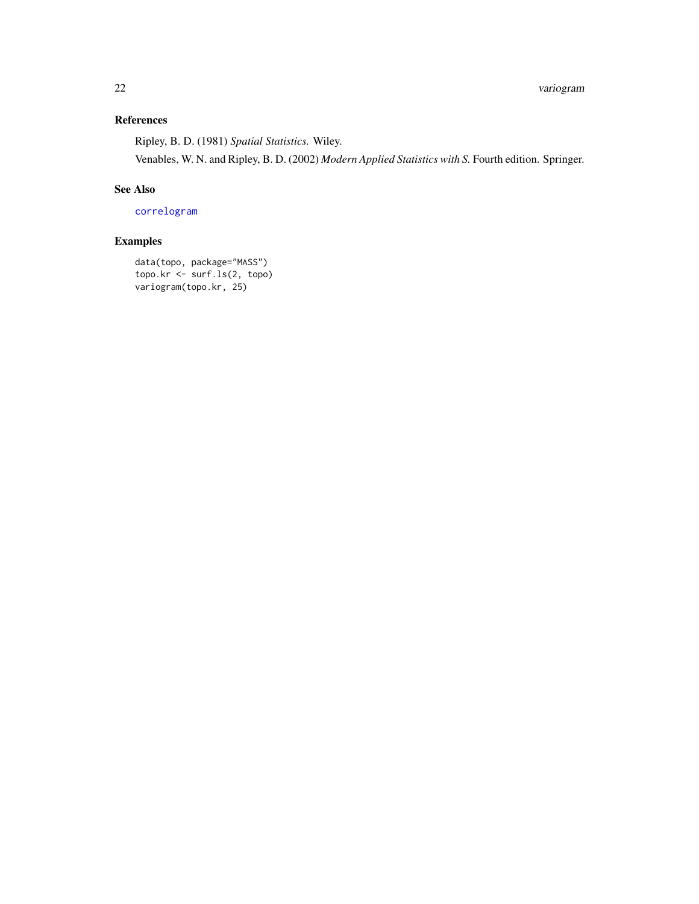# <span id="page-21-0"></span>References

Ripley, B. D. (1981) *Spatial Statistics.* Wiley.

Venables, W. N. and Ripley, B. D. (2002) *Modern Applied Statistics with S.* Fourth edition. Springer.

# See Also

[correlogram](#page-2-1)

# Examples

data(topo, package="MASS") topo.kr <- surf.ls(2, topo) variogram(topo.kr, 25)